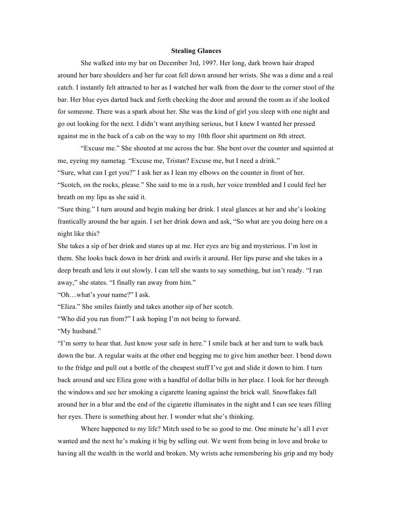## **Stealing Glances**

She walked into my bar on December 3rd, 1997. Her long, dark brown hair draped around her bare shoulders and her fur coat fell down around her wrists. She was a dime and a real catch. I instantly felt attracted to her as I watched her walk from the door to the corner stool of the bar. Her blue eyes darted back and forth checking the door and around the room as if she looked for someone. There was a spark about her. She was the kind of girl you sleep with one night and go out looking for the next. I didn't want anything serious, but I knew I wanted her pressed against me in the back of a cab on the way to my 10th floor shit apartment on 8th street.

"Excuse me." She shouted at me across the bar. She bent over the counter and squinted at me, eyeing my nametag. "Excuse me, Tristan? Excuse me, but I need a drink."

"Sure, what can I get you?" I ask her as I lean my elbows on the counter in front of her. "Scotch, on the rocks, please." She said to me in a rush, her voice trembled and I could feel her breath on my lips as she said it.

"Sure thing." I turn around and begin making her drink. I steal glances at her and she's looking frantically around the bar again. I set her drink down and ask, "So what are you doing here on a night like this?

She takes a sip of her drink and stares up at me. Her eyes are big and mysterious. I'm lost in them. She looks back down in her drink and swirls it around. Her lips purse and she takes in a deep breath and lets it out slowly. I can tell she wants to say something, but isn't ready. "I ran away," she states. "I finally ran away from him."

"Oh…what's your name?" I ask.

"Eliza." She smiles faintly and takes another sip of her scotch.

"Who did you run from?" I ask hoping I'm not being to forward.

"My husband."

"I'm sorry to hear that. Just know your safe in here." I smile back at her and turn to walk back down the bar. A regular waits at the other end begging me to give him another beer. I bend down to the fridge and pull out a bottle of the cheapest stuff I've got and slide it down to him. I turn back around and see Eliza gone with a handful of dollar bills in her place. I look for her through the windows and see her smoking a cigarette leaning against the brick wall. Snowflakes fall around her in a blur and the end of the cigarette illuminates in the night and I can see tears filling her eyes. There is something about her. I wonder what she's thinking.

Where happened to my life? Mitch used to be so good to me. One minute he's all I ever wanted and the next he's making it big by selling out. We went from being in love and broke to having all the wealth in the world and broken. My wrists ache remembering his grip and my body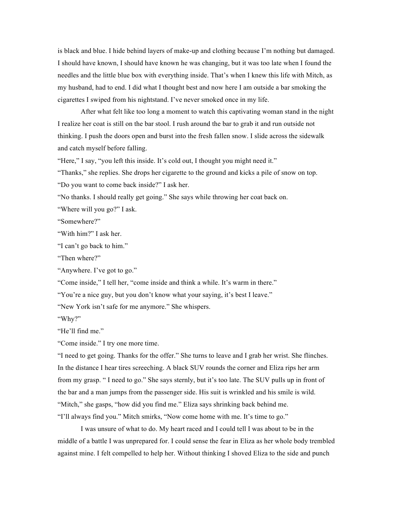is black and blue. I hide behind layers of make-up and clothing because I'm nothing but damaged. I should have known, I should have known he was changing, but it was too late when I found the needles and the little blue box with everything inside. That's when I knew this life with Mitch, as my husband, had to end. I did what I thought best and now here I am outside a bar smoking the cigarettes I swiped from his nightstand. I've never smoked once in my life.

After what felt like too long a moment to watch this captivating woman stand in the night I realize her coat is still on the bar stool. I rush around the bar to grab it and run outside not thinking. I push the doors open and burst into the fresh fallen snow. I slide across the sidewalk and catch myself before falling.

"Here," I say, "you left this inside. It's cold out, I thought you might need it."

"Thanks," she replies. She drops her cigarette to the ground and kicks a pile of snow on top. "Do you want to come back inside?" I ask her.

"No thanks. I should really get going." She says while throwing her coat back on.

"Where will you go?" I ask.

"Somewhere?"

"With him?" I ask her.

"I can't go back to him."

"Then where?"

"Anywhere. I've got to go."

"Come inside," I tell her, "come inside and think a while. It's warm in there."

"You're a nice guy, but you don't know what your saying, it's best I leave."

"New York isn't safe for me anymore." She whispers.

"Why?"

"He'll find me."

"Come inside." I try one more time.

"I need to get going. Thanks for the offer." She turns to leave and I grab her wrist. She flinches. In the distance I hear tires screeching. A black SUV rounds the corner and Eliza rips her arm from my grasp. " I need to go." She says sternly, but it's too late. The SUV pulls up in front of the bar and a man jumps from the passenger side. His suit is wrinkled and his smile is wild. "Mitch," she gasps, "how did you find me." Eliza says shrinking back behind me. "I'll always find you." Mitch smirks, "Now come home with me. It's time to go."

I was unsure of what to do. My heart raced and I could tell I was about to be in the middle of a battle I was unprepared for. I could sense the fear in Eliza as her whole body trembled against mine. I felt compelled to help her. Without thinking I shoved Eliza to the side and punch